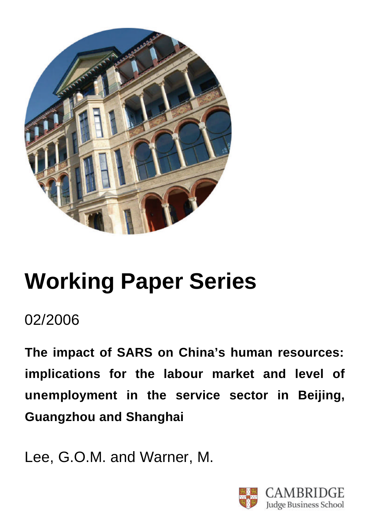

# **Working Paper Series**

## 02/2006

**The impact of SARS on China's human resources: implications for the labour market and level of unemployment in the service sector in Beijing, Guangzhou and Shanghai**

Lee, G.O.M. and Warner, M.

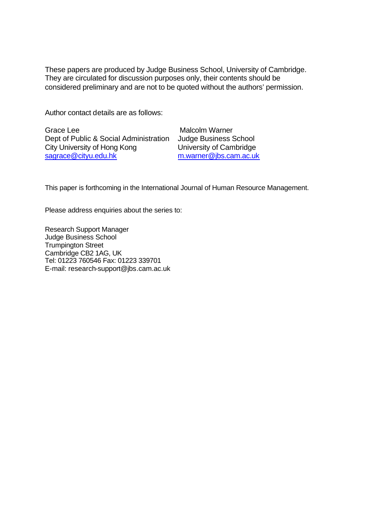These papers are produced by Judge Business School, University of Cambridge. They are circulated for discussion purposes only, their contents should be considered preliminary and are not to be quoted without the authors' permission.

Author contact details are as follows:

Grace Lee Dept of Public & Social Administration City University of Hong Kong sagrace@cityu.edu.hk

 Malcolm Warner Judge Business School University of Cambridge m.warner@jbs.cam.ac.uk

This paper is forthcoming in the International Journal of Human Resource Management.

Please address enquiries about the series to:

Research Support Manager Judge Business School Trumpington Street Cambridge CB2 1AG, UK Tel: 01223 760546 Fax: 01223 339701 E-mail: research-support@jbs.cam.ac.uk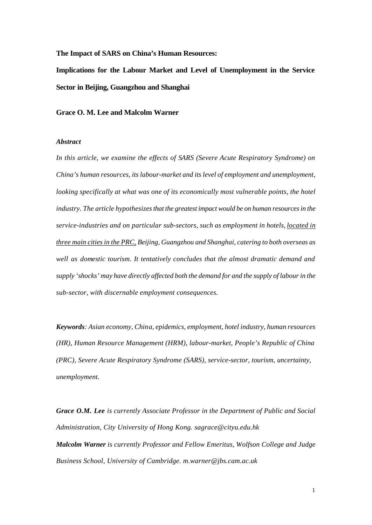**The Impact of SARS on China's Human Resources:** 

**Implications for the Labour Market and Level of Unemployment in the Service Sector in Beijing, Guangzhou and Shanghai**

**Grace O. M. Lee and Malcolm Warner**

#### *Abstract*

*In this article, we examine the effects of SARS (Severe Acute Respiratory Syndrome) on China's human resources, its labour-market and its level of employment and unemployment, looking specifically at what was one of its economically most vulnerable points, the hotel industry. The article hypothesizes that the greatest impact would be on human resources in the service-industries and on particular sub-sectors, such as employment in hotels, located in three main cities in the PRC, Beijing, Guangzhou and Shanghai, catering to both overseas as well as domestic tourism. It tentatively concludes that the almost dramatic demand and supply 'shocks' may have directly affected both the demand for and the supply of labour in the sub-sector, with discernable employment consequences.* 

*Keywords: Asian economy, China, epidemics, employment, hotel industry, human resources (HR), Human Resource Management (HRM), labour-market, People's Republic of China (PRC), Severe Acute Respiratory Syndrome (SARS), service-sector, tourism, uncertainty, unemployment.*

*Grace O.M. Lee is currently Associate Professor in the Department of Public and Social Administration, City University of Hong Kong. sagrace@cityu.edu.hk Malcolm Warner is currently Professor and Fellow Emeritus, Wolfson College and Judge Business School, University of Cambridge. m.warner@jbs.cam.ac.uk*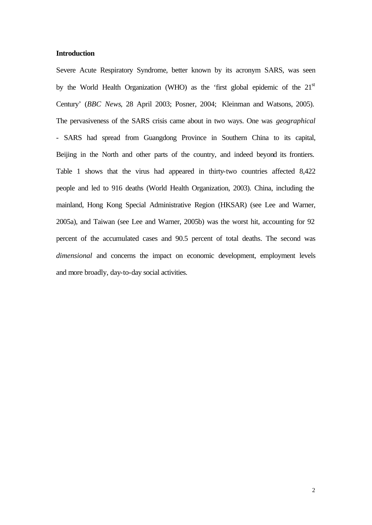#### **Introduction**

Severe Acute Respiratory Syndrome, better known by its acronym SARS, was seen by the World Health Organization (WHO) as the 'first global epidemic of the 21<sup>st</sup> Century' (*BBC News*, 28 April 2003; Posner, 2004; Kleinman and Watsons, 2005). The pervasiveness of the SARS crisis came about in two ways. One was *geographical* - SARS had spread from Guangdong Province in Southern China to its capital, Beijing in the North and other parts of the country, and indeed beyond its frontiers. Table 1 shows that the virus had appeared in thirty-two countries affected 8,422 people and led to 916 deaths (World Health Organization, 2003). China, including the mainland, Hong Kong Special Administrative Region (HKSAR) (see Lee and Warner, 2005a), and Taiwan (see Lee and Warner, 2005b) was the worst hit, accounting for 92 percent of the accumulated cases and 90.5 percent of total deaths. The second was *dimensional* and concerns the impact on economic development, employment levels and more broadly, day-to-day social activities.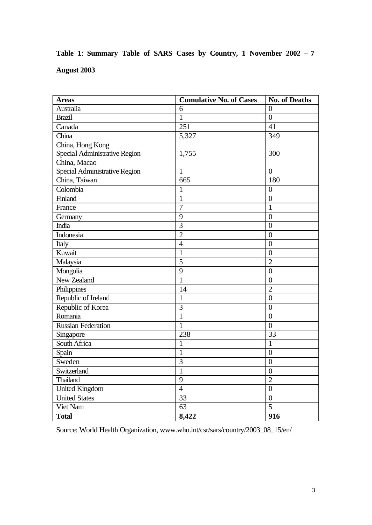|                    |  |  |  |  | Table 1: Summary Table of SARS Cases by Country, 1 November 2002 – 7 |  |
|--------------------|--|--|--|--|----------------------------------------------------------------------|--|
| <b>August 2003</b> |  |  |  |  |                                                                      |  |

| <b>Areas</b>                  | <b>Cumulative No. of Cases</b> | <b>No. of Deaths</b> |
|-------------------------------|--------------------------------|----------------------|
| Australia                     | 6                              | $\theta$             |
| <b>Brazil</b>                 | $\mathbf{1}$                   | $\overline{0}$       |
| Canada                        | 251                            | 41                   |
| China                         | 5,327                          | 349                  |
| China, Hong Kong              |                                |                      |
| Special Administrative Region | 1,755                          | 300                  |
| China, Macao                  |                                |                      |
| Special Administrative Region | 1                              | 0                    |
| China, Taiwan                 | 665                            | 180                  |
| Colombia                      | $\mathbf{1}$                   | $\overline{0}$       |
| Finland                       | $\overline{1}$                 | $\overline{0}$       |
| France                        | $\overline{7}$                 | 1                    |
| Germany                       | 9                              | $\overline{0}$       |
| India                         | $\overline{3}$                 | $\overline{0}$       |
| Indonesia                     | $\overline{2}$                 | $\overline{0}$       |
| Italy                         | $\overline{4}$                 | $\overline{0}$       |
| Kuwait                        | $\mathbf{1}$                   | $\overline{0}$       |
| Malaysia                      | $\overline{5}$                 | $\overline{2}$       |
| Mongolia                      | 9                              | $\overline{0}$       |
| New Zealand                   | $\mathbf{1}$                   | $\overline{0}$       |
| Philippines                   | 14                             | $\overline{2}$       |
| Republic of Ireland           | $\mathbf{1}$                   | $\overline{0}$       |
| Republic of Korea             | 3                              | $\overline{0}$       |
| Romania                       | $\mathbf{1}$                   | $\overline{0}$       |
| <b>Russian Federation</b>     | $\mathbf{1}$                   | $\overline{0}$       |
| Singapore                     | 238                            | 33                   |
| South Africa                  | $\mathbf{1}$                   | $\mathbf{1}$         |
| Spain                         | $\mathbf{1}$                   | $\overline{0}$       |
| Sweden                        | $\overline{3}$                 | $\overline{0}$       |
| Switzerland                   | $\mathbf{1}$                   | $\overline{0}$       |
| Thailand                      | 9                              | $\overline{2}$       |
| <b>United Kingdom</b>         | $\overline{4}$                 | $\overline{0}$       |
| <b>United States</b>          | $\overline{33}$                | $\overline{0}$       |
| Viet Nam                      | 63                             | 5                    |
| <b>Total</b>                  | 8,422                          | 916                  |

Source: World Health Organization, www.who.int/csr/sars/country/2003\_08\_15/en/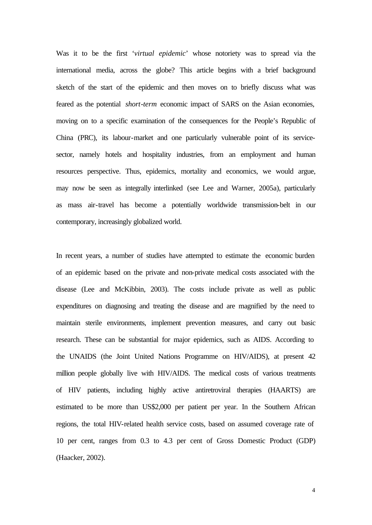Was it to be the first '*virtual epidemic*' whose notoriety was to spread via the international media, across the globe? This article begins with a brief background sketch of the start of the epidemic and then moves on to briefly discuss what was feared as the potential *short-term* economic impact of SARS on the Asian economies, moving on to a specific examination of the consequences for the People's Republic of China (PRC), its labour-market and one particularly vulnerable point of its servicesector, namely hotels and hospitality industries, from an employment and human resources perspective. Thus, epidemics, mortality and economics, we would argue, may now be seen as integrally interlinked (see Lee and Warner, 2005a), particularly as mass air-travel has become a potentially worldwide transmission-belt in our contemporary, increasingly globalized world.

In recent years, a number of studies have attempted to estimate the economic burden of an epidemic based on the private and non-private medical costs associated with the disease (Lee and McKibbin, 2003). The costs include private as well as public expenditures on diagnosing and treating the disease and are magnified by the need to maintain sterile environments, implement prevention measures, and carry out basic research. These can be substantial for major epidemics, such as AIDS. According to the UNAIDS (the Joint United Nations Programme on HIV/AIDS), at present 42 million people globally live with HIV/AIDS. The medical costs of various treatments of HIV patients, including highly active antiretroviral therapies (HAARTS) are estimated to be more than US\$2,000 per patient per year. In the Southern African regions, the total HIV-related health service costs, based on assumed coverage rate of 10 per cent, ranges from 0.3 to 4.3 per cent of Gross Domestic Product (GDP) (Haacker, 2002).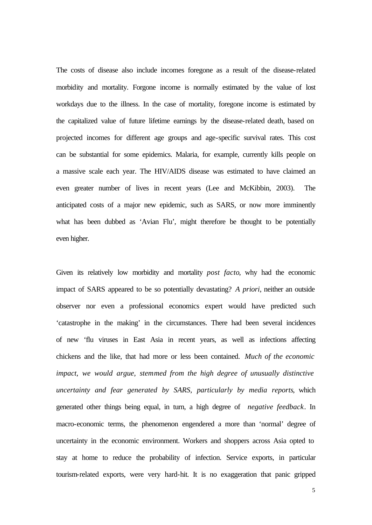The costs of disease also include incomes foregone as a result of the disease-related morbidity and mortality. Forgone income is normally estimated by the value of lost workdays due to the illness. In the case of mortality, foregone income is estimated by the capitalized value of future lifetime earnings by the disease-related death, based on projected incomes for different age groups and age-specific survival rates. This cost can be substantial for some epidemics. Malaria, for example, currently kills people on a massive scale each year. The HIV/AIDS disease was estimated to have claimed an even greater number of lives in recent years (Lee and McKibbin, 2003). The anticipated costs of a major new epidemic, such as SARS, or now more imminently what has been dubbed as 'Avian Flu', might therefore be thought to be potentially even higher.

Given its relatively low morbidity and mortality *post facto*, why had the economic impact of SARS appeared to be so potentially devastating? *A priori*, neither an outside observer nor even a professional economics expert would have predicted such 'catastrophe in the making' in the circumstances. There had been several incidences of new 'flu viruses in East Asia in recent years, as well as infections affecting chickens and the like, that had more or less been contained. *Much of the economic impact, we would argue, stemmed from the high degree of unusually distinctive uncertainty and fear generated by SARS, particularly by media reports*, which generated other things being equal, in turn, a high degree of *negative feedback*. In macro-economic terms, the phenomenon engendered a more than 'normal' degree of uncertainty in the economic environment. Workers and shoppers across Asia opted to stay at home to reduce the probability of infection. Service exports, in particular tourism-related exports, were very hard-hit. It is no exaggeration that panic gripped

5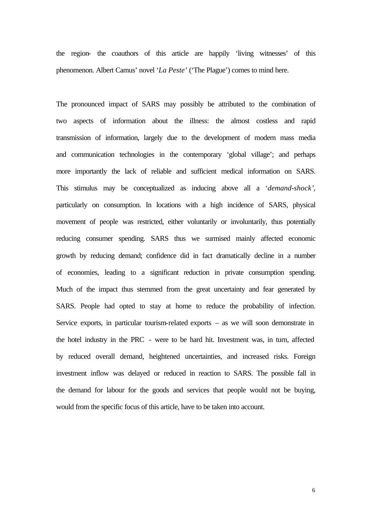the region- the coauthors of this article are happily 'living witnesses' of this phenomenon. Albert Camus' novel '*La Peste'* ('The Plague') comes to mind here.

The pronounced impact of SARS may possibly be attributed to the combination of two aspects of information about the illness: the almost costless and rapid transmission of information, largely due to the development of modern mass media and communication technologies in the contemporary 'global village'; and perhaps more importantly the lack of reliable and sufficient medical information on SARS. This stimulus may be conceptualized as inducing above all a '*demand-shock'*, particularly on consumption. In locations with a high incidence of SARS, physical movement of people was restricted, either voluntarily or involuntarily, thus potentially reducing consumer spending. SARS thus we surmised mainly affected economic growth by reducing demand; confidence did in fact dramatically decline in a number of economies, leading to a significant reduction in private consumption spending. Much of the impact thus stemmed from the great uncertainty and fear generated by SARS. People had opted to stay at home to reduce the probability of infection. Service exports, in particular tourism-related exports – as we will soon demonstrate in the hotel industry in the PRC - were to be hard hit. Investment was, in turn, affected by reduced overall demand, heightened uncertainties, and increased risks. Foreign investment inflow was delayed or reduced in reaction to SARS. The possible fall in the demand for labour for the goods and services that people would not be buying, would from the specific focus of this article, have to be taken into account.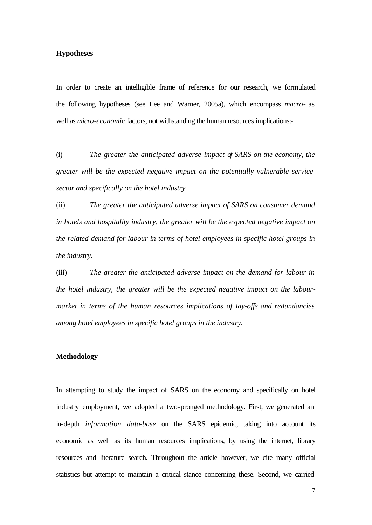#### **Hypotheses**

In order to create an intelligible frame of reference for our research, we formulated the following hypotheses (see Lee and Warner, 2005a), which encompass *macro-* as well as *micro-economic* factors, not withstanding the human resources implications:-

(i) *The greater the anticipated adverse impact of SARS on the economy, the greater will be the expected negative impact on the potentially vulnerable servicesector and specifically on the hotel industry.*

(ii) *The greater the anticipated adverse impact of SARS on consumer demand in hotels and hospitality industry, the greater will be the expected negative impact on the related demand for labour in terms of hotel employees in specific hotel groups in the industry.*

(iii) *The greater the anticipated adverse impact on the demand for labour in the hotel industry, the greater will be the expected negative impact on the labourmarket in terms of the human resources implications of lay-offs and redundancies among hotel employees in specific hotel groups in the industry.*

#### **Methodology**

In attempting to study the impact of SARS on the economy and specifically on hotel industry employment, we adopted a two-pronged methodology. First, we generated an in-depth *information data-base* on the SARS epidemic, taking into account its economic as well as its human resources implications, by using the internet, library resources and literature search. Throughout the article however, we cite many official statistics but attempt to maintain a critical stance concerning these. Second, we carried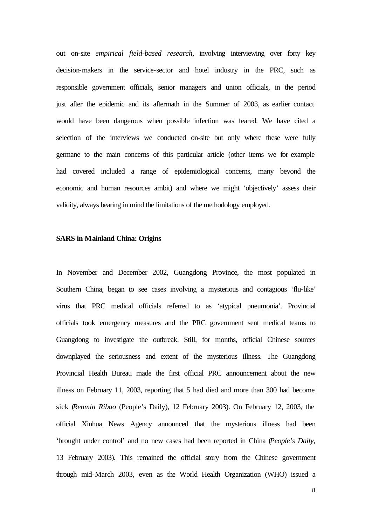out on-site *empirical field-based research*, involving interviewing over forty key decision-makers in the service-sector and hotel industry in the PRC, such as responsible government officials, senior managers and union officials, in the period just after the epidemic and its aftermath in the Summer of 2003, as earlier contact would have been dangerous when possible infection was feared. We have cited a selection of the interviews we conducted on-site but only where these were fully germane to the main concerns of this particular article (other items we for example had covered included a range of epidemiological concerns, many beyond the economic and human resources ambit) and where we might 'objectively' assess their validity, always bearing in mind the limitations of the methodology employed.

#### **SARS in Mainland China: Origins**

In November and December 2002, Guangdong Province, the most populated in Southern China, began to see cases involving a mysterious and contagious 'flu-like' virus that PRC medical officials referred to as 'atypical pneumonia'. Provincial officials took emergency measures and the PRC government sent medical teams to Guangdong to investigate the outbreak. Still, for months, official Chinese sources downplayed the seriousness and extent of the mysterious illness. The Guangdong Provincial Health Bureau made the first official PRC announcement about the new illness on February 11, 2003, reporting that 5 had died and more than 300 had become sick (*Renmin Ribao* (People's Daily), 12 February 2003). On February 12, 2003, the official Xinhua News Agency announced that the mysterious illness had been 'brought under control' and no new cases had been reported in China (*People's Daily*, 13 February 2003). This remained the official story from the Chinese government through mid-March 2003, even as the World Health Organization (WHO) issued a

8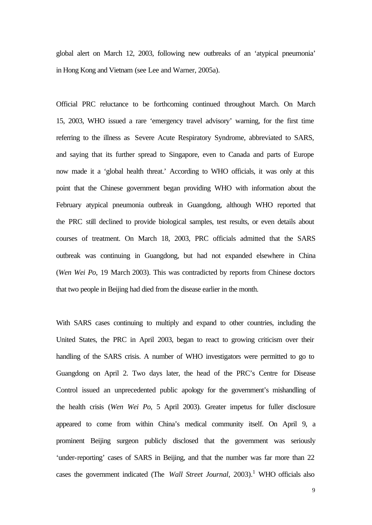global alert on March 12, 2003, following new outbreaks of an 'atypical pneumonia' in Hong Kong and Vietnam (see Lee and Warner, 2005a).

Official PRC reluctance to be forthcoming continued throughout March. On March 15, 2003, WHO issued a rare 'emergency travel advisory' warning, for the first time referring to the illness as Severe Acute Respiratory Syndrome, abbreviated to SARS, and saying that its further spread to Singapore, even to Canada and parts of Europe now made it a 'global health threat.' According to WHO officials, it was only at this point that the Chinese government began providing WHO with information about the February atypical pneumonia outbreak in Guangdong, although WHO reported that the PRC still declined to provide biological samples, test results, or even details about courses of treatment. On March 18, 2003, PRC officials admitted that the SARS outbreak was continuing in Guangdong, but had not expanded elsewhere in China (*Wen Wei Po*, 19 March 2003). This was contradicted by reports from Chinese doctors that two people in Beijing had died from the disease earlier in the month.

With SARS cases continuing to multiply and expand to other countries, including the United States, the PRC in April 2003, began to react to growing criticism over their handling of the SARS crisis. A number of WHO investigators were permitted to go to Guangdong on April 2. Two days later, the head of the PRC's Centre for Disease Control issued an unprecedented public apology for the government's mishandling of the health crisis (*Wen Wei Po*, 5 April 2003). Greater impetus for fuller disclosure appeared to come from within China's medical community itself. On April 9, a prominent Beijing surgeon publicly disclosed that the government was seriously 'under-reporting' cases of SARS in Beijing, and that the number was far more than 22 cases the government indicated (The *Wall Street Journal*, 2003).<sup>1</sup> WHO officials also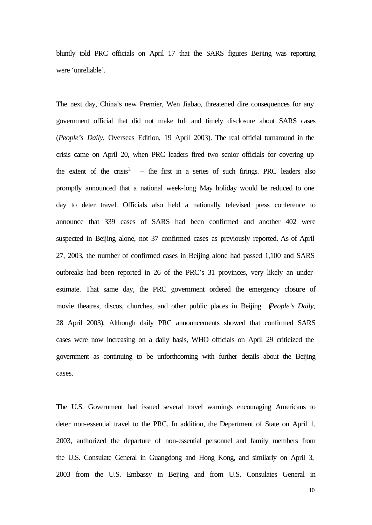bluntly told PRC officials on April 17 that the SARS figures Beijing was reporting were 'unreliable'.

The next day, China's new Premier, Wen Jiabao, threatened dire consequences for any government official that did not make full and timely disclosure about SARS cases (*People's Daily*, Overseas Edition, 19 April 2003). The real official turnaround in the crisis came on April 20, when PRC leaders fired two senior officials for covering up the extent of the crisis<sup>2</sup> – the first in a series of such firings. PRC leaders also promptly announced that a national week-long May holiday would be reduced to one day to deter travel. Officials also held a nationally televised press conference to announce that 339 cases of SARS had been confirmed and another 402 were suspected in Beijing alone, not 37 confirmed cases as previously reported. As of April 27, 2003, the number of confirmed cases in Beijing alone had passed 1,100 and SARS outbreaks had been reported in 26 of the PRC's 31 provinces, very likely an underestimate. That same day, the PRC government ordered the emergency closure of movie theatres, discos, churches, and other public places in Beijing (*People's Daily*, 28 April 2003). Although daily PRC announcements showed that confirmed SARS cases were now increasing on a daily basis, WHO officials on April 29 criticized the government as continuing to be unforthcoming with further details about the Beijing cases.

The U.S. Government had issued several travel warnings encouraging Americans to deter non-essential travel to the PRC. In addition, the Department of State on April 1, 2003, authorized the departure of non-essential personnel and family members from the U.S. Consulate General in Guangdong and Hong Kong, and similarly on April 3, 2003 from the U.S. Embassy in Beijing and from U.S. Consulates General in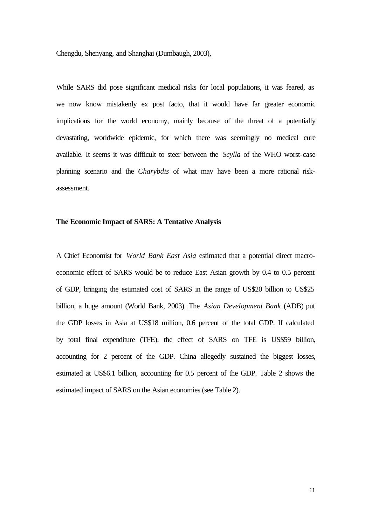Chengdu, Shenyang, and Shanghai (Dumbaugh, 2003),

While SARS did pose significant medical risks for local populations, it was feared, as we now know mistakenly ex post facto, that it would have far greater economic implications for the world economy, mainly because of the threat of a potentially devastating, worldwide epidemic, for which there was seemingly no medical cure available. It seems it was difficult to steer between the *Scylla* of the WHO worst-case planning scenario and the *Charybdis* of what may have been a more rational riskassessment.

#### **The Economic Impact of SARS: A Tentative Analysis**

A Chief Economist for *World Bank East Asia* estimated that a potential direct macroeconomic effect of SARS would be to reduce East Asian growth by 0.4 to 0.5 percent of GDP, bringing the estimated cost of SARS in the range of US\$20 billion to US\$25 billion, a huge amount (World Bank, 2003). The *Asian Development Bank* (ADB) put the GDP losses in Asia at US\$18 million, 0.6 percent of the total GDP. If calculated by total final expenditure (TFE), the effect of SARS on TFE is US\$59 billion, accounting for 2 percent of the GDP. China allegedly sustained the biggest losses, estimated at US\$6.1 billion, accounting for 0.5 percent of the GDP. Table 2 shows the estimated impact of SARS on the Asian economies (see Table 2).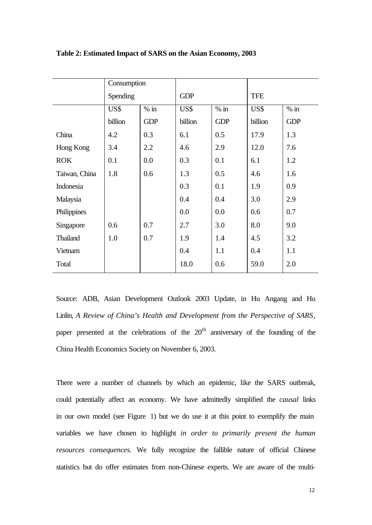|               | Consumption |            |            |            |            |            |
|---------------|-------------|------------|------------|------------|------------|------------|
|               | Spending    |            | <b>GDP</b> |            | <b>TFE</b> |            |
|               | US\$        | $%$ in     | US\$       | $%$ in     | US\$       | $%$ in     |
|               | billion     | <b>GDP</b> | billion    | <b>GDP</b> | billion    | <b>GDP</b> |
| China         | 4.2         | 0.3        | 6.1        | 0.5        | 17.9       | 1.3        |
| Hong Kong     | 3.4         | 2.2        | 4.6        | 2.9        | 12.0       | 7.6        |
| <b>ROK</b>    | 0.1         | 0.0        | 0.3        | 0.1        | 6.1        | 1.2        |
| Taiwan, China | 1.8         | 0.6        | 1.3        | 0.5        | 4.6        | 1.6        |
| Indonesia     |             |            | 0.3        | 0.1        | 1.9        | 0.9        |
| Malaysia      |             |            | 0.4        | 0.4        | 3.0        | 2.9        |
| Philippines   |             |            | 0.0        | 0.0        | 0.6        | 0.7        |
| Singapore     | 0.6         | 0.7        | 2.7        | 3.0        | 8.0        | 9.0        |
| Thailand      | 1.0         | 0.7        | 1.9        | 1.4        | 4.5        | 3.2        |
| Vietnam       |             |            | 0.4        | 1.1        | 0.4        | 1.1        |
| Total         |             |            | 18.0       | 0.6        | 59.0       | 2.0        |

**Table 2: Estimated Impact of SARS on the Asian Economy, 2003**

Source: ADB, Asian Development Outlook 2003 Update, in Hu Angang and Hu Linlin, *A Review of China's Health and Development from the Perspective of SARS*, paper presented at the celebrations of the  $20<sup>th</sup>$  anniversary of the founding of the China Health Economics Society on November 6, 2003.

There were a number of channels by which an epidemic, like the SARS outbreak, could potentially affect an economy. We have admittedly simplified the *causal* links in our own model (see Figure 1) but we do use it at this point to exemplify the main variables we have chosen to highlight *in order to primarily present the human resources consequences.* We fully recognize the fallible nature of official Chinese statistics but do offer estimates from non-Chinese experts. We are aware of the multi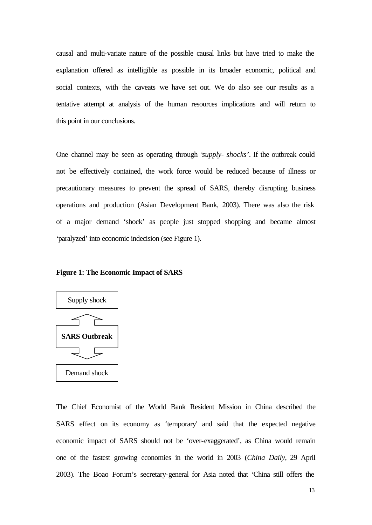causal and multi-variate nature of the possible causal links but have tried to make the explanation offered as intelligible as possible in its broader economic, political and social contexts, with the caveats we have set out. We do also see our results as a tentative attempt at analysis of the human resources implications and will return to this point in our conclusions.

One channel may be seen as operating through '*supply- shocks'*. If the outbreak could not be effectively contained, the work force would be reduced because of illness or precautionary measures to prevent the spread of SARS, thereby disrupting business operations and production (Asian Development Bank, 2003). There was also the risk of a major demand 'shock' as people just stopped shopping and became almost 'paralyzed' into economic indecision (see Figure 1).

#### **Figure 1: The Economic Impact of SARS**



The Chief Economist of the World Bank Resident Mission in China described the SARS effect on its economy as 'temporary' and said that the expected negative economic impact of SARS should not be 'over-exaggerated', as China would remain one of the fastest growing economies in the world in 2003 (*China Daily*, 29 April 2003). The Boao Forum's secretary-general for Asia noted that 'China still offers the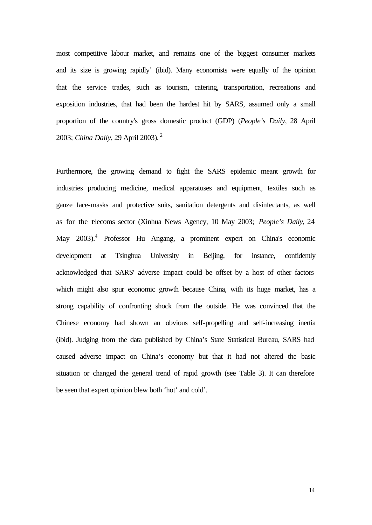most competitive labour market, and remains one of the biggest consumer markets and its size is growing rapidly' (ibid). Many economists were equally of the opinion that the service trades, such as tourism, catering, transportation, recreations and exposition industries, that had been the hardest hit by SARS, assumed only a small proportion of the country's gross domestic product (GDP) (*People's Daily*, 28 April 2003; *China Daily*, 29 April 2003).<sup>2</sup>

Furthermore, the growing demand to fight the SARS epidemic meant growth for industries producing medicine, medical apparatuses and equipment, textiles such as gauze face-masks and protective suits, sanitation detergents and disinfectants, as well as for the telecoms sector (Xinhua News Agency, 10 May 2003; *People's Daily*, 24 May 2003).<sup>4</sup> Professor Hu Angang, a prominent expert on China's economic development at Tsinghua University in Beijing, for instance, confidently acknowledged that SARS' adverse impact could be offset by a host of other factors which might also spur economic growth because China, with its huge market, has a strong capability of confronting shock from the outside. He was convinced that the Chinese economy had shown an obvious self-propelling and self-increasing inertia (ibid). Judging from the data published by China's State Statistical Bureau, SARS had caused adverse impact on China's economy but that it had not altered the basic situation or changed the general trend of rapid growth (see Table 3). It can therefore be seen that expert opinion blew both 'hot' and cold'.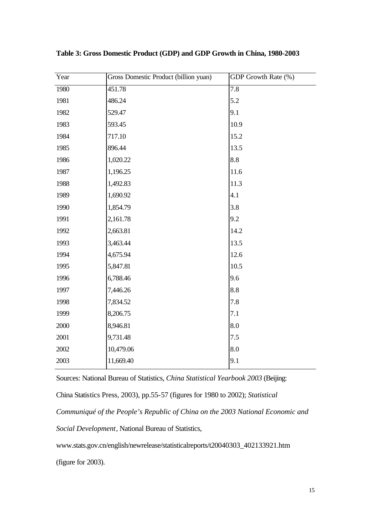| Year | Gross Domestic Product (billion yuan) | GDP Growth Rate (%) |
|------|---------------------------------------|---------------------|
| 1980 | 451.78                                | 7.8                 |
| 1981 | 486.24                                | 5.2                 |
| 1982 | 529.47                                | 9.1                 |
| 1983 | 593.45                                | 10.9                |
| 1984 | 717.10                                | 15.2                |
| 1985 | 896.44                                | 13.5                |
| 1986 | 1,020.22                              | 8.8                 |
| 1987 | 1,196.25                              | 11.6                |
| 1988 | 1,492.83                              | 11.3                |
| 1989 | 1,690.92                              | 4.1                 |
| 1990 | 1,854.79                              | 3.8                 |
| 1991 | 2,161.78                              | 9.2                 |
| 1992 | 2,663.81                              | 14.2                |
| 1993 | 3,463.44                              | 13.5                |
| 1994 | 4,675.94                              | 12.6                |
| 1995 | 5,847.81                              | 10.5                |
| 1996 | 6,788.46                              | 9.6                 |
| 1997 | 7,446.26                              | 8.8                 |
| 1998 | 7,834.52                              | 7.8                 |
| 1999 | 8,206.75                              | 7.1                 |
| 2000 | 8,946.81                              | 8.0                 |
| 2001 | 9,731.48                              | 7.5                 |
| 2002 | 10,479.06                             | 8.0                 |
| 2003 | 11,669.40                             | 9.1                 |

**Table 3: Gross Domestic Product (GDP) and GDP Growth in China, 1980-2003**

Sources: National Bureau of Statistics, *China Statistical Yearbook 2003* (Beijing: China Statistics Press, 2003), pp.55-57 (figures for 1980 to 2002); *Statistical* 

*Communiqué of the People's Republic of China on the 2003 National Economic and* 

*Social Development*, National Bureau of Statistics,

www.stats.gov.cn/english/newrelease/statisticalreports/t20040303\_402133921.htm

(figure for 2003).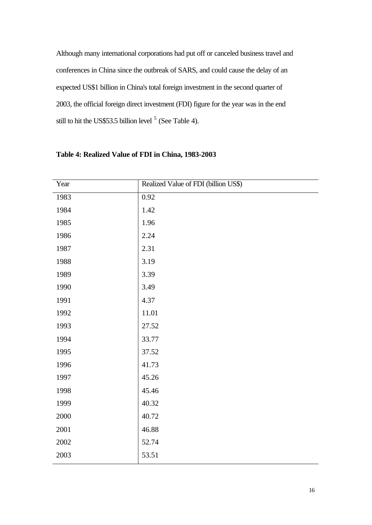Although many international corporations had put off or canceled business travel and conferences in China since the outbreak of SARS, and could cause the delay of an expected US\$1 billion in China's total foreign investment in the second quarter of 2003, the official foreign direct investment (FDI) figure for the year was in the end still to hit the US\$53.5 billion level  $5$  (See Table 4).

| Year | Realized Value of FDI (billion US\$) |
|------|--------------------------------------|
| 1983 | 0.92                                 |
| 1984 | 1.42                                 |
| 1985 | 1.96                                 |
| 1986 | 2.24                                 |
| 1987 | 2.31                                 |
| 1988 | 3.19                                 |
| 1989 | 3.39                                 |
| 1990 | 3.49                                 |
| 1991 | 4.37                                 |
| 1992 | 11.01                                |
| 1993 | 27.52                                |
| 1994 | 33.77                                |
| 1995 | 37.52                                |
| 1996 | 41.73                                |
| 1997 | 45.26                                |
| 1998 | 45.46                                |
| 1999 | 40.32                                |
| 2000 | 40.72                                |
| 2001 | 46.88                                |
| 2002 | 52.74                                |
| 2003 | 53.51                                |

### **Table 4: Realized Value of FDI in China, 1983-2003**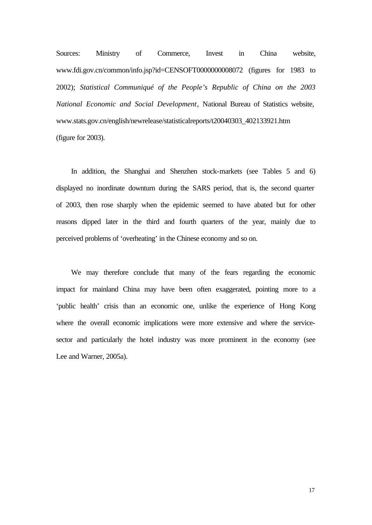Sources: Ministry of Commerce, Invest in China website, www.fdi.gov.cn/common/info.jsp?id=CENSOFT0000000008072 (figures for 1983 to 2002); *Statistical Communiqué of the People's Republic of China on the 2003 National Economic and Social Development*, National Bureau of Statistics website, www.stats.gov.cn/english/newrelease/statisticalreports/t20040303\_402133921.htm (figure for 2003).

In addition, the Shanghai and Shenzhen stock-markets (see Tables 5 and 6) displayed no inordinate downturn during the SARS period, that is, the second quarter of 2003, then rose sharply when the epidemic seemed to have abated but for other reasons dipped later in the third and fourth quarters of the year, mainly due to perceived problems of 'overheating' in the Chinese economy and so on.

We may therefore conclude that many of the fears regarding the economic impact for mainland China may have been often exaggerated, pointing more to a 'public health' crisis than an economic one, unlike the experience of Hong Kong where the overall economic implications were more extensive and where the servicesector and particularly the hotel industry was more prominent in the economy (see Lee and Warner, 2005a).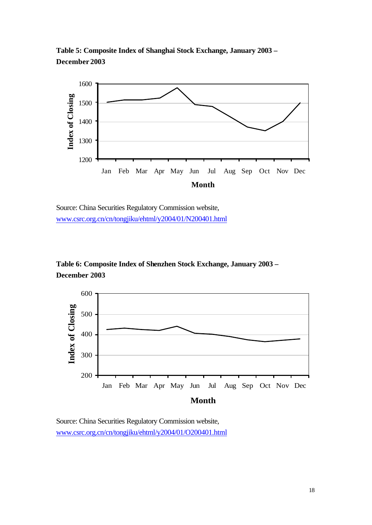**Table 5: Composite Index of Shanghai Stock Exchange, January 2003 – December 2003**





**Table 6: Composite Index of Shenzhen Stock Exchange, January 2003 – December 2003**



Source: China Securities Regulatory Commission website, www.csrc.org.cn/cn/tongjiku/ehtml/y2004/01/O200401.html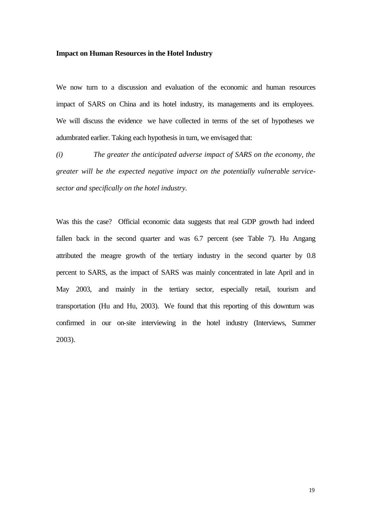#### **Impact on Human Resources in the Hotel Industry**

We now turn to a discussion and evaluation of the economic and human resources impact of SARS on China and its hotel industry, its managements and its employees. We will discuss the evidence we have collected in terms of the set of hypotheses we adumbrated earlier. Taking each hypothesis in turn, we envisaged that:

*(i) The greater the anticipated adverse impact of SARS on the economy, the greater will be the expected negative impact on the potentially vulnerable servicesector and specifically on the hotel industry.*

Was this the case? Official economic data suggests that real GDP growth had indeed fallen back in the second quarter and was 6.7 percent (see Table 7). Hu Angang attributed the meagre growth of the tertiary industry in the second quarter by 0.8 percent to SARS, as the impact of SARS was mainly concentrated in late April and in May 2003, and mainly in the tertiary sector, especially retail, tourism and transportation (Hu and Hu, 2003). We found that this reporting of this downturn was confirmed in our on-site interviewing in the hotel industry (Interviews, Summer 2003).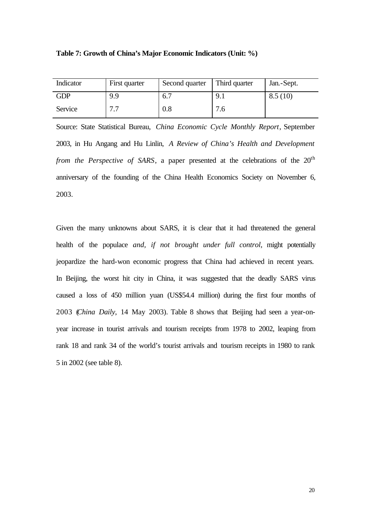|  |  | Table 7: Growth of China's Major Economic Indicators (Unit: %) |  |
|--|--|----------------------------------------------------------------|--|
|--|--|----------------------------------------------------------------|--|

| Indicator  | First quarter | Second quarter | Third quarter | Jan.-Sept. |
|------------|---------------|----------------|---------------|------------|
| <b>GDP</b> | 9.9           | 6.7            | 9.1           | 8.5(10)    |
| Service    | 7.7           | 0.8            | 7.6           |            |

Source: State Statistical Bureau, *China Economic Cycle Monthly Report*, September 2003, in Hu Angang and Hu Linlin, *A Review of China's Health and Development from the Perspective of SARS*, a paper presented at the celebrations of the 20<sup>th</sup> anniversary of the founding of the China Health Economics Society on November 6, 2003.

Given the many unknowns about SARS, it is clear that it had threatened the general health of the populace *and, if not brought under full control*, might potentially jeopardize the hard-won economic progress that China had achieved in recent years. In Beijing, the worst hit city in China, it was suggested that the deadly SARS virus caused a loss of 450 million yuan (US\$54.4 million) during the first four months of 2003 (*China Daily*, 14 May 2003). Table 8 shows that Beijing had seen a year-onyear increase in tourist arrivals and tourism receipts from 1978 to 2002, leaping from rank 18 and rank 34 of the world's tourist arrivals and tourism receipts in 1980 to rank 5 in 2002 (see table 8).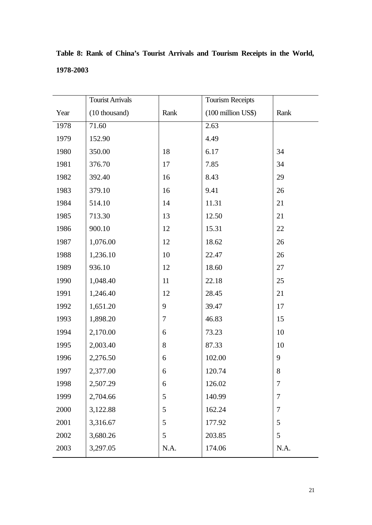|      | <b>Tourist Arrivals</b> |            | Tourism Receipts   |        |
|------|-------------------------|------------|--------------------|--------|
| Year | (10 thousand)           | Rank       | (100 million US\$) | Rank   |
| 1978 | 71.60                   |            | 2.63               |        |
| 1979 | 152.90                  |            | 4.49               |        |
| 1980 | 350.00                  | 18         | 6.17               | 34     |
| 1981 | 376.70                  | 17         | 7.85               | 34     |
| 1982 | 392.40                  | 16         | 8.43               | 29     |
| 1983 | 379.10                  | 16         | 9.41               | 26     |
| 1984 | 514.10                  | 14         | 11.31              | 21     |
| 1985 | 713.30                  | 13         | 12.50              | 21     |
| 1986 | 900.10                  | 12         | 15.31              | 22     |
| 1987 | 1,076.00                | 12         | 18.62              | 26     |
| 1988 | 1,236.10                | 10         | 22.47              | 26     |
| 1989 | 936.10                  | 12         | 18.60              | 27     |
| 1990 | 1,048.40                | 11         | 22.18              | 25     |
| 1991 | 1,246.40                | 12         | 28.45              | 21     |
| 1992 | 1,651.20                | 9          | 39.47              | 17     |
| 1993 | 1,898.20                | 7          | 46.83              | 15     |
| 1994 | 2,170.00                | 6          | 73.23              | 10     |
| 1995 | 2,003.40                | 8          | 87.33              | 10     |
| 1996 | 2,276.50                | 6          | 102.00             | 9      |
| 1997 | 2,377.00                | 6          | 120.74             | $8\,$  |
| 1998 | 2,507.29                | 6          | 126.02             | 7      |
| 1999 | 2,704.66                | 5          | 140.99             | $\tau$ |
| 2000 | 3,122.88                | 5          | 162.24             | 7      |
| 2001 | 3,316.67                | 5          | 177.92             | 5      |
| 2002 | 3,680.26                | 5          | 203.85             | 5      |
| 2003 | 3,297.05                | $\rm N.A.$ | 174.06             | N.A.   |

**Table 8: Rank of China's Tourist Arrivals and Tourism Receipts in the World, 1978-2003**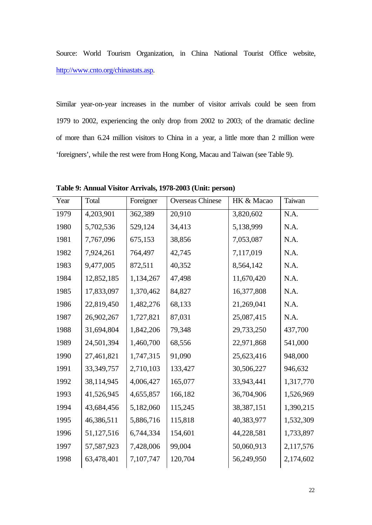Source: World Tourism Organization, in China National Tourist Office website, http://www.cnto.org/chinastats.asp.

Similar year-on-year increases in the number of visitor arrivals could be seen from 1979 to 2002, experiencing the only drop from 2002 to 2003; of the dramatic decline of more than 6.24 million visitors to China in a year, a little more than 2 million were 'foreigners', while the rest were from Hong Kong, Macau and Taiwan (see Table 9).

| Year | Total        | Foreigner | <b>Overseas Chinese</b> | HK & Macao   | Taiwan    |
|------|--------------|-----------|-------------------------|--------------|-----------|
| 1979 | 4,203,901    | 362,389   | 20,910                  | 3,820,602    | N.A.      |
| 1980 | 5,702,536    | 529,124   | 34,413                  | 5,138,999    | N.A.      |
| 1981 | 7,767,096    | 675,153   | 38,856                  | 7,053,087    | N.A.      |
| 1982 | 7,924,261    | 764,497   | 42,745                  | 7,117,019    | N.A.      |
| 1983 | 9,477,005    | 872,511   | 40,352                  | 8,564,142    | N.A.      |
| 1984 | 12,852,185   | 1,134,267 | 47,498                  | 11,670,420   | N.A.      |
| 1985 | 17,833,097   | 1,370,462 | 84,827                  | 16,377,808   | N.A.      |
| 1986 | 22,819,450   | 1,482,276 | 68,133                  | 21,269,041   | N.A.      |
| 1987 | 26,902,267   | 1,727,821 | 87,031                  | 25,087,415   | N.A.      |
| 1988 | 31,694,804   | 1,842,206 | 79,348                  | 29,733,250   | 437,700   |
| 1989 | 24,501,394   | 1,460,700 | 68,556                  | 22,971,868   | 541,000   |
| 1990 | 27,461,821   | 1,747,315 | 91,090                  | 25,623,416   | 948,000   |
| 1991 | 33, 349, 757 | 2,710,103 | 133,427                 | 30,506,227   | 946,632   |
| 1992 | 38,114,945   | 4,006,427 | 165,077                 | 33,943,441   | 1,317,770 |
| 1993 | 41,526,945   | 4,655,857 | 166,182                 | 36,704,906   | 1,526,969 |
| 1994 | 43,684,456   | 5,182,060 | 115,245                 | 38, 387, 151 | 1,390,215 |
| 1995 | 46,386,511   | 5,886,716 | 115,818                 | 40,383,977   | 1,532,309 |
| 1996 | 51,127,516   | 6,744,334 | 154,601                 | 44,228,581   | 1,733,897 |
| 1997 | 57,587,923   | 7,428,006 | 99,004                  | 50,060,913   | 2,117,576 |
| 1998 | 63,478,401   | 7,107,747 | 120,704                 | 56,249,950   | 2,174,602 |

**Table 9: Annual Visitor Arrivals, 1978-2003 (Unit: person)**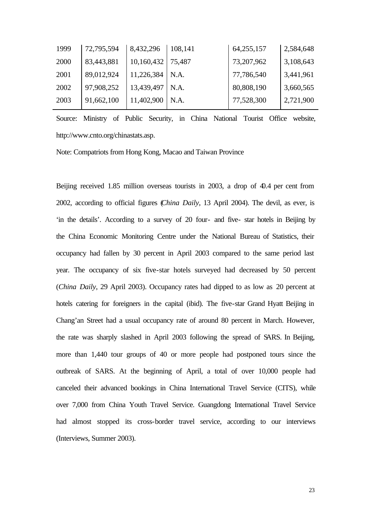| 1999 | 72,795,594 | 8,432,296  | 108,141 | 64,255,157 | 2,584,648 |
|------|------------|------------|---------|------------|-----------|
| 2000 | 83,443,881 | 10,160,432 | 75,487  | 73,207,962 | 3,108,643 |
| 2001 | 89,012,924 | 11,226,384 | N.A.    | 77,786,540 | 3,441,961 |
| 2002 | 97,908,252 | 13,439,497 | N.A.    | 80,808,190 | 3,660,565 |
| 2003 | 91,662,100 | 11,402,900 | N.A.    | 77,528,300 | 2,721,900 |
|      |            |            |         |            |           |

Source: Ministry of Public Security, in China National Tourist Office website, http://www.cnto.org/chinastats.asp.

Note: Compatriots from Hong Kong, Macao and Taiwan Province

Beijing received 1.85 million overseas tourists in 2003, a drop of 40.4 per cent from 2002, according to official figures (*China Daily*, 13 April 2004). The devil, as ever, is 'in the details'. According to a survey of 20 four- and five- star hotels in Beijing by the China Economic Monitoring Centre under the National Bureau of Statistics, their occupancy had fallen by 30 percent in April 2003 compared to the same period last year. The occupancy of six five-star hotels surveyed had decreased by 50 percent (*China Daily*, 29 April 2003). Occupancy rates had dipped to as low as 20 percent at hotels catering for foreigners in the capital (ibid). The five-star Grand Hyatt Beijing in Chang'an Street had a usual occupancy rate of around 80 percent in March. However, the rate was sharply slashed in April 2003 following the spread of SARS. In Beijing, more than 1,440 tour groups of 40 or more people had postponed tours since the outbreak of SARS. At the beginning of April, a total of over 10,000 people had canceled their advanced bookings in China International Travel Service (CITS), while over 7,000 from China Youth Travel Service. Guangdong International Travel Service had almost stopped its cross-border travel service, according to our interviews (Interviews, Summer 2003).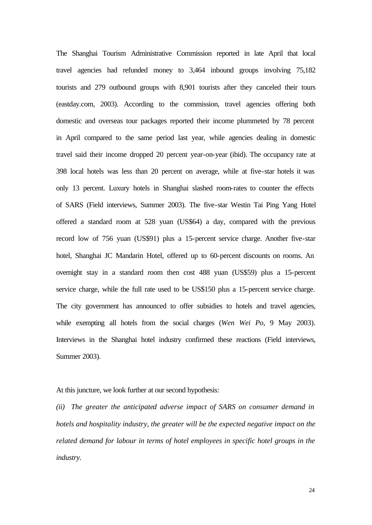The Shanghai Tourism Administrative Commission reported in late April that local travel agencies had refunded money to 3,464 inbound groups involving 75,182 tourists and 279 outbound groups with 8,901 tourists after they canceled their tours (eastday.com, 2003). According to the commission, travel agencies offering both domestic and overseas tour packages reported their income plummeted by 78 percent in April compared to the same period last year, while agencies dealing in domestic travel said their income dropped 20 percent year-on-year (ibid). The occupancy rate at 398 local hotels was less than 20 percent on average, while at five-star hotels it was only 13 percent. Luxury hotels in Shanghai slashed room-rates to counter the effects of SARS (Field interviews, Summer 2003). The five-star Westin Tai Ping Yang Hotel offered a standard room at 528 yuan (US\$64) a day, compared with the previous record low of 756 yuan (US\$91) plus a 15-percent service charge. Another five-star hotel, Shanghai JC Mandarin Hotel, offered up to 60-percent discounts on rooms. An overnight stay in a standard room then cost 488 yuan (US\$59) plus a 15-percent service charge, while the full rate used to be US\$150 plus a 15-percent service charge. The city government has announced to offer subsidies to hotels and travel agencies, while exempting all hotels from the social charges (*Wen Wei Po*, 9 May 2003). Interviews in the Shanghai hotel industry confirmed these reactions (Field interviews, Summer 2003).

At this juncture, we look further at our second hypothesis:

*(ii) The greater the anticipated adverse impact of SARS on consumer demand in hotels and hospitality industry, the greater will be the expected negative impact on the related demand for labour in terms of hotel employees in specific hotel groups in the industry.*

24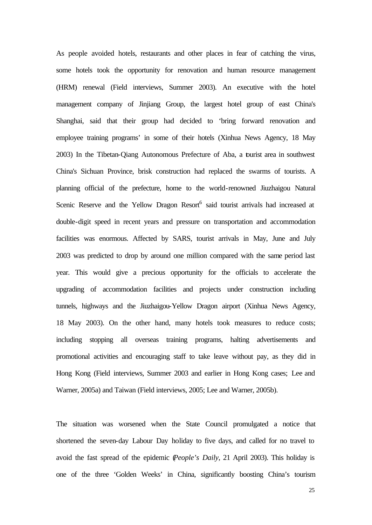As people avoided hotels, restaurants and other places in fear of catching the virus, some hotels took the opportunity for renovation and human resource management (HRM) renewal (Field interviews, Summer 2003). An executive with the hotel management company of Jinjiang Group, the largest hotel group of east China's Shanghai, said that their group had decided to 'bring forward renovation and employee training programs' in some of their hotels (Xinhua News Agency, 18 May 2003) In the Tibetan-Qiang Autonomous Prefecture of Aba, a tourist area in southwest China's Sichuan Province, brisk construction had replaced the swarms of tourists. A planning official of the prefecture, home to the world-renowned Jiuzhaigou Natural Scenic Reserve and the Yellow Dragon Resort<sup>6</sup> said tourist arrivals had increased at double-digit speed in recent years and pressure on transportation and accommodation facilities was enormous. Affected by SARS, tourist arrivals in May, June and July 2003 was predicted to drop by around one million compared with the same period last year. This would give a precious opportunity for the officials to accelerate the upgrading of accommodation facilities and projects under construction including tunnels, highways and the Jiuzhaigou-Yellow Dragon airport (Xinhua News Agency, 18 May 2003). On the other hand, many hotels took measures to reduce costs; including stopping all overseas training programs, halting advertisements and promotional activities and encouraging staff to take leave without pay, as they did in Hong Kong (Field interviews, Summer 2003 and earlier in Hong Kong cases; Lee and Warner, 2005a) and Taiwan (Field interviews, 2005; Lee and Warner, 2005b).

The situation was worsened when the State Council promulgated a notice that shortened the seven-day Labour Day holiday to five days, and called for no travel to avoid the fast spread of the epidemic (*People's Daily*, 21 April 2003). This holiday is one of the three 'Golden Weeks' in China, significantly boosting China's tourism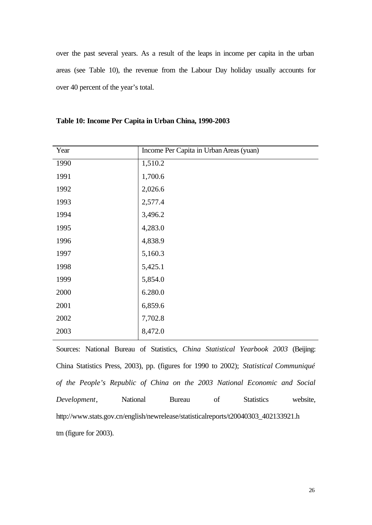over the past several years. As a result of the leaps in income per capita in the urban areas (see Table 10), the revenue from the Labour Day holiday usually accounts for over 40 percent of the year's total.

| Year | Income Per Capita in Urban Areas (yuan) |
|------|-----------------------------------------|
| 1990 | 1,510.2                                 |
| 1991 | 1,700.6                                 |
| 1992 | 2,026.6                                 |
| 1993 | 2,577.4                                 |
| 1994 | 3,496.2                                 |
| 1995 | 4,283.0                                 |
| 1996 | 4,838.9                                 |
| 1997 | 5,160.3                                 |
| 1998 | 5,425.1                                 |
| 1999 | 5,854.0                                 |
| 2000 | 6.280.0                                 |
| 2001 | 6,859.6                                 |
| 2002 | 7,702.8                                 |
| 2003 | 8,472.0                                 |

**Table 10: Income Per Capita in Urban China, 1990-2003**

Sources: National Bureau of Statistics, *China Statistical Yearbook 2003* (Beijing: China Statistics Press, 2003), pp. (figures for 1990 to 2002); *Statistical Communiqué of the People's Republic of China on the 2003 National Economic and Social Development*, National Bureau of Statistics website, http://www.stats.gov.cn/english/newrelease/statisticalreports/t20040303\_402133921.h tm (figure for 2003).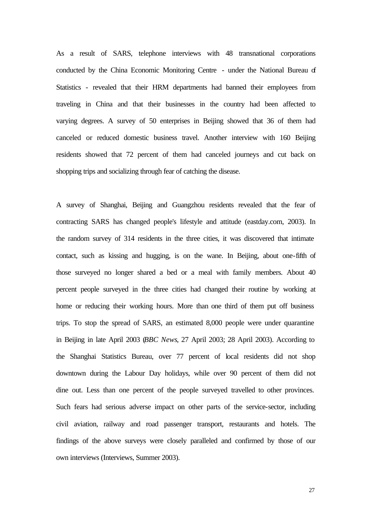As a result of SARS, telephone interviews with 48 transnational corporations conducted by the China Economic Monitoring Centre - under the National Bureau of Statistics - revealed that their HRM departments had banned their employees from traveling in China and that their businesses in the country had been affected to varying degrees. A survey of 50 enterprises in Beijing showed that 36 of them had canceled or reduced domestic business travel. Another interview with 160 Beijing residents showed that 72 percent of them had canceled journeys and cut back on shopping trips and socializing through fear of catching the disease.

A survey of Shanghai, Beijing and Guangzhou residents revealed that the fear of contracting SARS has changed people's lifestyle and attitude (eastday.com, 2003). In the random survey of 314 residents in the three cities, it was discovered that intimate contact, such as kissing and hugging, is on the wane. In Beijing, about one-fifth of those surveyed no longer shared a bed or a meal with family members. About 40 percent people surveyed in the three cities had changed their routine by working at home or reducing their working hours. More than one third of them put off business trips. To stop the spread of SARS, an estimated 8,000 people were under quarantine in Beijing in late April 2003 (*BBC News*, 27 April 2003; 28 April 2003). According to the Shanghai Statistics Bureau, over 77 percent of local residents did not shop downtown during the Labour Day holidays, while over 90 percent of them did not dine out. Less than one percent of the people surveyed travelled to other provinces. Such fears had serious adverse impact on other parts of the service-sector, including civil aviation, railway and road passenger transport, restaurants and hotels. The findings of the above surveys were closely paralleled and confirmed by those of our own interviews (Interviews, Summer 2003).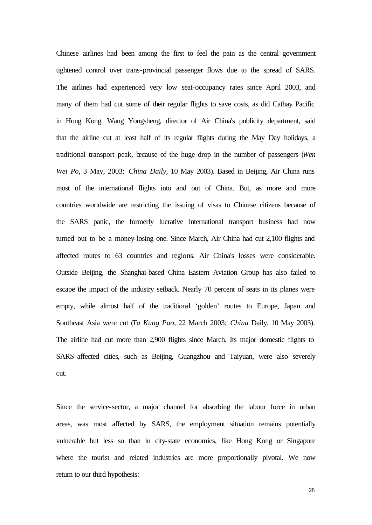Chinese airlines had been among the first to feel the pain as the central government tightened control over trans-provincial passenger flows due to the spread of SARS. The airlines had experienced very low seat-occupancy rates since April 2003, and many of them had cut some of their regular flights to save costs, as did Cathay Pacific in Hong Kong. Wang Yongsheng, director of Air China's publicity department, said that the airline cut at least half of its regular flights during the May Day holidays, a traditional transport peak, because of the huge drop in the number of passengers (*Wen Wei Po*, 3 May, 2003; *China Daily*, 10 May 2003). Based in Beijing, Air China runs most of the international flights into and out of China. But, as more and more countries worldwide are restricting the issuing of visas to Chinese citizens because of the SARS panic, the formerly lucrative international transport business had now turned out to be a money-losing one. Since March, Air China had cut 2,100 flights and affected routes to 63 countries and regions. Air China's losses were considerable. Outside Beijing, the Shanghai-based China Eastern Aviation Group has also failed to escape the impact of the industry setback. Nearly 70 percent of seats in its planes were empty, while almost half of the traditional 'golden' routes to Europe, Japan and Southeast Asia were cut (*Ta Kung Pao*, 22 March 2003; *China* Daily, 10 May 2003). The airline had cut more than 2,900 flights since March. Its major domestic flights to SARS-affected cities, such as Beijing, Guangzhou and Taiyuan, were also severely cut.

Since the service-sector, a major channel for absorbing the labour force in urban areas, was most affected by SARS, the employment situation remains potentially vulnerable but less so than in city-state economies, like Hong Kong or Singapore where the tourist and related industries are more proportionally pivotal. We now return to our third hypothesis: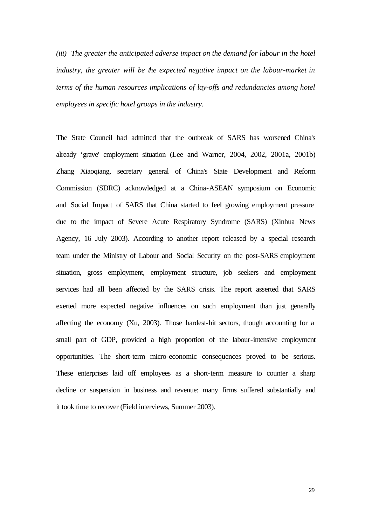*(iii) The greater the anticipated adverse impact on the demand for labour in the hotel industry, the greater will be the expected negative impact on the labour-market in terms of the human resources implications of lay-offs and redundancies among hotel employees in specific hotel groups in the industry.*

The State Council had admitted that the outbreak of SARS has worsened China's already 'grave' employment situation (Lee and Warner, 2004, 2002, 2001a, 2001b) Zhang Xiaoqiang, secretary general of China's State Development and Reform Commission (SDRC) acknowledged at a China-ASEAN symposium on Economic and Social Impact of SARS that China started to feel growing employment pressure due to the impact of Severe Acute Respiratory Syndrome (SARS) (Xinhua News Agency, 16 July 2003). According to another report released by a special research team under the Ministry of Labour and Social Security on the post-SARS employment situation, gross employment, employment structure, job seekers and employment services had all been affected by the SARS crisis. The report asserted that SARS exerted more expected negative influences on such employment than just generally affecting the economy (Xu, 2003). Those hardest-hit sectors, though accounting for a small part of GDP, provided a high proportion of the labour-intensive employment opportunities. The short-term micro-economic consequences proved to be serious. These enterprises laid off employees as a short-term measure to counter a sharp decline or suspension in business and revenue: many firms suffered substantially and it took time to recover (Field interviews, Summer 2003).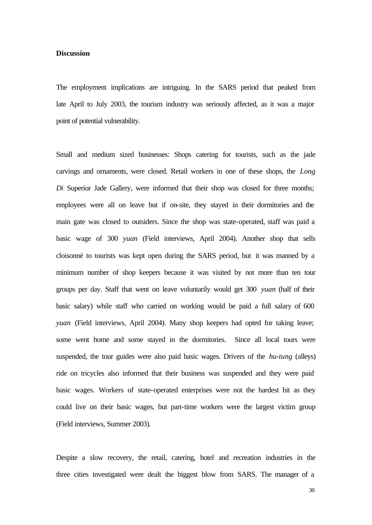#### **Discussion**

The employment implications are intriguing. In the SARS period that peaked from late April to July 2003, the tourism industry was seriously affected, as it was a major point of potential vulnerability.

Small and medium sized businesses: Shops catering for tourists, such as the jade carvings and ornaments, were closed. Retail workers in one of these shops, the *Long Di* Superior Jade Gallery, were informed that their shop was closed for three months; employees were all on leave but if on-site, they stayed in their dormitories and the main gate was closed to outsiders. Since the shop was state-operated, staff was paid a basic wage of 300 *yuan* (Field interviews, April 2004). Another shop that sells cloisonné to tourists was kept open during the SARS period, but it was manned by a minimum number of shop keepers because it was visited by not more than ten tour groups per day. Staff that went on leave voluntarily would get 300 *yuan* (half of their basic salary) while staff who carried on working would be paid a full salary of 600 *yuan* (Field interviews, April 2004). Many shop keepers had opted for taking leave; some went home and some stayed in the dormitories. Since all local tours were suspended, the tour guides were also paid basic wages. Drivers of the *hu-tung* (alleys) ride on tricycles also informed that their business was suspended and they were paid basic wages. Workers of state-operated enterprises were not the hardest hit as they could live on their basic wages, but part-time workers were the largest victim group (Field interviews, Summer 2003).

Despite a slow recovery, the retail, catering, hotel and recreation industries in the three cities investigated were dealt the biggest blow from SARS. The manager of a

30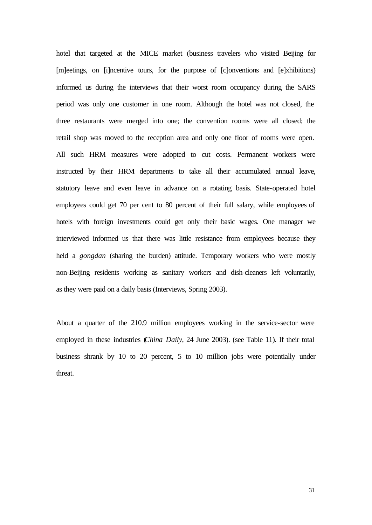hotel that targeted at the MICE market (business travelers who visited Beijing for [m]eetings, on [i]ncentive tours, for the purpose of [c]onventions and [e]xhibitions) informed us during the interviews that their worst room occupancy during the SARS period was only one customer in one room. Although the hotel was not closed, the three restaurants were merged into one; the convention rooms were all closed; the retail shop was moved to the reception area and only one floor of rooms were open. All such HRM measures were adopted to cut costs. Permanent workers were instructed by their HRM departments to take all their accumulated annual leave, statutory leave and even leave in advance on a rotating basis. State-operated hotel employees could get 70 per cent to 80 percent of their full salary, while employees of hotels with foreign investments could get only their basic wages. One manager we interviewed informed us that there was little resistance from employees because they held a *gongdan* (sharing the burden) attitude. Temporary workers who were mostly non-Beijing residents working as sanitary workers and dish-cleaners left voluntarily, as they were paid on a daily basis (Interviews, Spring 2003).

About a quarter of the 210.9 million employees working in the service-sector were employed in these industries (*China Daily*, 24 June 2003). (see Table 11). If their total business shrank by 10 to 20 percent, 5 to 10 million jobs were potentially under threat.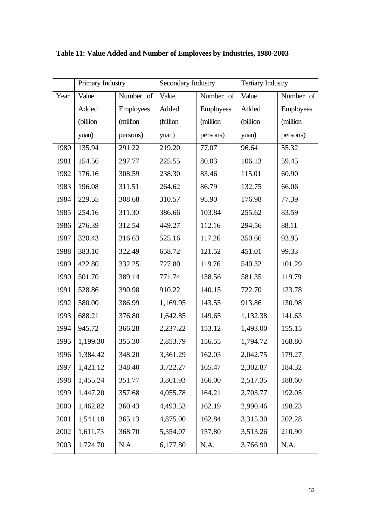|      | Primary Industry |                  | Secondary Industry |                  | <b>Tertiary Industry</b> |                  |
|------|------------------|------------------|--------------------|------------------|--------------------------|------------------|
| Year | Value            | Number of        | Value              | Number of        | Value                    | Number of        |
|      | Added            | <b>Employees</b> | Added              | <b>Employees</b> | Added                    | <b>Employees</b> |
|      | (billion         | (million)        | (billion           | (million)        | (billion                 | (million)        |
|      | yuan)            | persons)         | yuan)              | persons)         | yuan)                    | persons)         |
| 1980 | 135.94           | 291.22           | 219.20             | 77.07            | 96.64                    | 55.32            |
| 1981 | 154.56           | 297.77           | 225.55             | 80.03            | 106.13                   | 59.45            |
| 1982 | 176.16           | 308.59           | 238.30             | 83.46            | 115.01                   | 60.90            |
| 1983 | 196.08           | 311.51           | 264.62             | 86.79            | 132.75                   | 66.06            |
| 1984 | 229.55           | 308.68           | 310.57             | 95.90            | 176.98                   | 77.39            |
| 1985 | 254.16           | 311.30           | 386.66             | 103.84           | 255.62                   | 83.59            |
| 1986 | 276.39           | 312.54           | 449.27             | 112.16           | 294.56                   | 88.11            |
| 1987 | 320.43           | 316.63           | 525.16             | 117.26           | 350.66                   | 93.95            |
| 1988 | 383.10           | 322.49           | 658.72             | 121.52           | 451.01                   | 99.33            |
| 1989 | 422.80           | 332.25           | 727.80             | 119.76           | 540.32                   | 101.29           |
| 1990 | 501.70           | 389.14           | 771.74             | 138.56           | 581.35                   | 119.79           |
| 1991 | 528.86           | 390.98           | 910.22             | 140.15           | 722.70                   | 123.78           |
| 1992 | 580.00           | 386.99           | 1,169.95           | 143.55           | 913.86                   | 130.98           |
| 1993 | 688.21           | 376.80           | 1,642.85           | 149.65           | 1,132.38                 | 141.63           |
| 1994 | 945.72           | 366.28           | 2,237.22           | 153.12           | 1,493.00                 | 155.15           |
| 1995 | 1,199.30         | 355.30           | 2,853.79           | 156.55           | 1,794.72                 | 168.80           |
| 1996 | 1,384.42         | 348.20           | 3,361.29           | 162.03           | 2,042.75                 | 179.27           |
| 1997 | 1,421.12         | 348.40           | 3,722.27           | 165.47           | 2,302.87                 | 184.32           |
| 1998 | 1,455.24         | 351.77           | 3,861.93           | 166.00           | 2,517.35                 | 188.60           |
| 1999 | 1,447.20         | 357.68           | 4,055.78           | 164.21           | 2,703.77                 | 192.05           |
| 2000 | 1,462.82         | 360.43           | 4,493.53           | 162.19           | 2,990.46                 | 198.23           |
| 2001 | 1,541.18         | 365.13           | 4,875.00           | 162.84           | 3,315.30                 | 202.28           |
| 2002 | 1,611.73         | 368.70           | 5,354.07           | 157.80           | 3,513.26                 | 210.90           |
| 2003 | 1,724.70         | N.A.             | 6,177.80           | N.A.             | 3,766.90                 | N.A.             |

**Table 11: Value Added and Number of Employees by Industries, 1980-2003**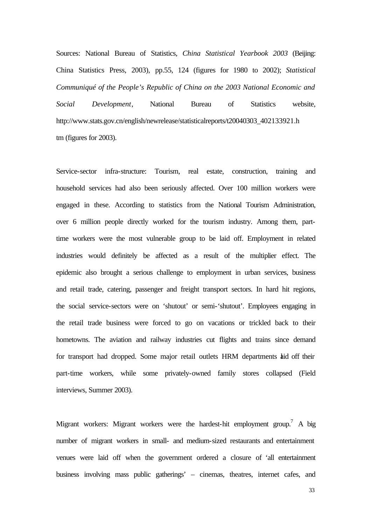Sources: National Bureau of Statistics, *China Statistical Yearbook 2003* (Beijing: China Statistics Press, 2003), pp.55, 124 (figures for 1980 to 2002); *Statistical Communiqué of the People's Republic of China on the 2003 National Economic and Social Development*, National Bureau of Statistics website, http://www.stats.gov.cn/english/newrelease/statisticalreports/t20040303\_402133921.h tm (figures for 2003).

Service-sector infra-structure: Tourism, real estate, construction, training and household services had also been seriously affected. Over 100 million workers were engaged in these. According to statistics from the National Tourism Administration, over 6 million people directly worked for the tourism industry. Among them, parttime workers were the most vulnerable group to be laid off. Employment in related industries would definitely be affected as a result of the multiplier effect. The epidemic also brought a serious challenge to employment in urban services, business and retail trade, catering, passenger and freight transport sectors. In hard hit regions, the social service-sectors were on 'shutout' or semi-'shutout'. Employees engaging in the retail trade business were forced to go on vacations or trickled back to their hometowns. The aviation and railway industries cut flights and trains since demand for transport had dropped. Some major retail outlets HRM departments laid off their part-time workers, while some privately-owned family stores collapsed (Field interviews, Summer 2003).

Migrant workers: Migrant workers were the hardest-hit employment group.<sup>7</sup> A big number of migrant workers in small- and medium-sized restaurants and entertainment venues were laid off when the government ordered a closure of 'all entertainment business involving mass public gatherings' – cinemas, theatres, internet cafes, and

33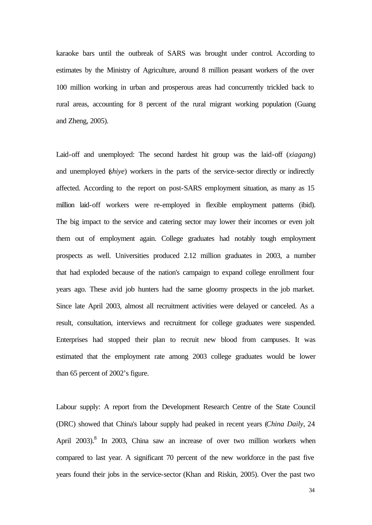karaoke bars until the outbreak of SARS was brought under control. According to estimates by the Ministry of Agriculture, around 8 million peasant workers of the over 100 million working in urban and prosperous areas had concurrently trickled back to rural areas, accounting for 8 percent of the rural migrant working population (Guang and Zheng, 2005).

Laid-off and unemployed: The second hardest hit group was the laid-off (*xiagang*) and unemployed (*shiye*) workers in the parts of the service-sector directly or indirectly affected. According to the report on post-SARS employment situation, as many as 15 million laid-off workers were re-employed in flexible employment patterns (ibid). The big impact to the service and catering sector may lower their incomes or even jolt them out of employment again. College graduates had notably tough employment prospects as well. Universities produced 2.12 million graduates in 2003, a number that had exploded because of the nation's campaign to expand college enrollment four years ago. These avid job hunters had the same gloomy prospects in the job market. Since late April 2003, almost all recruitment activities were delayed or canceled. As a result, consultation, interviews and recruitment for college graduates were suspended. Enterprises had stopped their plan to recruit new blood from campuses. It was estimated that the employment rate among 2003 college graduates would be lower than 65 percent of 2002's figure.

Labour supply: A report from the Development Research Centre of the State Council (DRC) showed that China's labour supply had peaked in recent years (*China Daily*, 24 April 2003).<sup>8</sup> In 2003, China saw an increase of over two million workers when compared to last year. A significant 70 percent of the new workforce in the past five years found their jobs in the service-sector (Khan and Riskin, 2005). Over the past two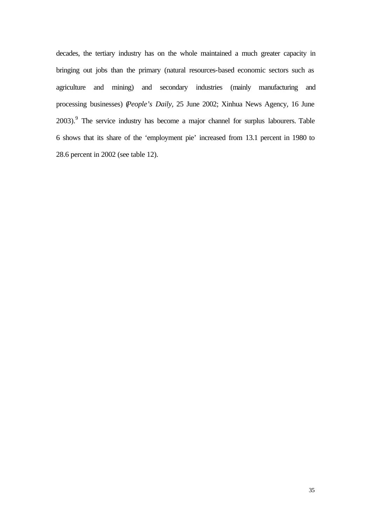decades, the tertiary industry has on the whole maintained a much greater capacity in bringing out jobs than the primary (natural resources-based economic sectors such as agriculture and mining) and secondary industries (mainly manufacturing and processing businesses) (*People's Daily*, 25 June 2002; Xinhua News Agency, 16 June  $2003$ .<sup>9</sup> The service industry has become a major channel for surplus labourers. Table 6 shows that its share of the 'employment pie' increased from 13.1 percent in 1980 to 28.6 percent in 2002 (see table 12).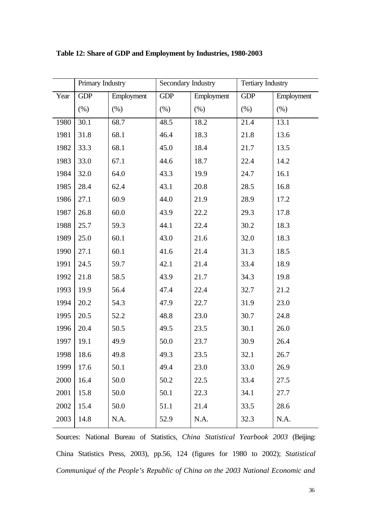|      | Primary Industry |            | Secondary Industry |            | <b>Tertiary Industry</b> |            |
|------|------------------|------------|--------------------|------------|--------------------------|------------|
| Year | <b>GDP</b>       | Employment | <b>GDP</b>         | Employment | <b>GDP</b>               | Employment |
|      | (% )             | (% )       | (% )               | (% )       | (% )                     | (% )       |
| 1980 | 30.1             | 68.7       | 48.5               | 18.2       | 21.4                     | 13.1       |
| 1981 | 31.8             | 68.1       | 46.4               | 18.3       | 21.8                     | 13.6       |
| 1982 | 33.3             | 68.1       | 45.0               | 18.4       | 21.7                     | 13.5       |
| 1983 | 33.0             | 67.1       | 44.6               | 18.7       | 22.4                     | 14.2       |
| 1984 | 32.0             | 64.0       | 43.3               | 19.9       | 24.7                     | 16.1       |
| 1985 | 28.4             | 62.4       | 43.1               | 20.8       | 28.5                     | 16.8       |
| 1986 | 27.1             | 60.9       | 44.0               | 21.9       | 28.9                     | 17.2       |
| 1987 | 26.8             | 60.0       | 43.9               | 22.2       | 29.3                     | 17.8       |
| 1988 | 25.7             | 59.3       | 44.1               | 22.4       | 30.2                     | 18.3       |
| 1989 | 25.0             | 60.1       | 43.0               | 21.6       | 32.0                     | 18.3       |
| 1990 | 27.1             | 60.1       | 41.6               | 21.4       | 31.3                     | 18.5       |
| 1991 | 24.5             | 59.7       | 42.1               | 21.4       | 33.4                     | 18.9       |
| 1992 | 21.8             | 58.5       | 43.9               | 21.7       | 34.3                     | 19.8       |
| 1993 | 19.9             | 56.4       | 47.4               | 22.4       | 32.7                     | 21.2       |
| 1994 | 20.2             | 54.3       | 47.9               | 22.7       | 31.9                     | 23.0       |
| 1995 | 20.5             | 52.2       | 48.8               | 23.0       | 30.7                     | 24.8       |
| 1996 | 20.4             | 50.5       | 49.5               | 23.5       | 30.1                     | 26.0       |
| 1997 | 19.1             | 49.9       | 50.0               | 23.7       | 30.9                     | 26.4       |
| 1998 | 18.6             | 49.8       | 49.3               | 23.5       | 32.1                     | 26.7       |
| 1999 | 17.6             | 50.1       | 49.4               | 23.0       | 33.0                     | 26.9       |
| 2000 | 16.4             | 50.0       | 50.2               | 22.5       | 33.4                     | 27.5       |
| 2001 | 15.8             | 50.0       | 50.1               | 22.3       | 34.1                     | 27.7       |
| 2002 | 15.4             | 50.0       | 51.1               | 21.4       | 33.5                     | 28.6       |
| 2003 | 14.8             | N.A.       | 52.9               | N.A.       | 32.3                     | N.A.       |

**Table 12: Share of GDP and Employment by Industries, 1980-2003**

Sources: National Bureau of Statistics, *China Statistical Yearbook 2003* (Beijing: China Statistics Press, 2003), pp.56, 124 (figures for 1980 to 2002); *Statistical Communiqué of the People's Republic of China on the 2003 National Economic and*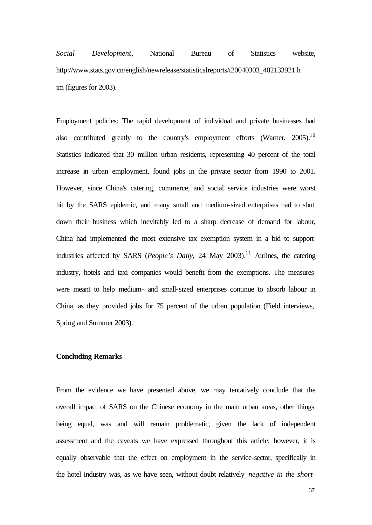*Social Development*, National Bureau of Statistics website, http://www.stats.gov.cn/english/newrelease/statisticalreports/t20040303\_402133921.h tm (figures for 2003).

Employment policies: The rapid development of individual and private businesses had also contributed greatly to the country's employment efforts (Warner,  $2005$ ).<sup>10</sup> Statistics indicated that 30 million urban residents, representing 40 percent of the total increase in urban employment, found jobs in the private sector from 1990 to 2001. However, since China's catering, commerce, and social service industries were worst hit by the SARS epidemic, and many small and medium-sized enterprises had to shut down their business which inevitably led to a sharp decrease of demand for labour, China had implemented the most extensive tax exemption system in a bid to support industries affected by SARS (*People's Daily*, 24 May 2003).<sup>11</sup> Airlines, the catering industry, hotels and taxi companies would benefit from the exemptions. The measures were meant to help medium- and small-sized enterprises continue to absorb labour in China, as they provided jobs for 75 percent of the urban population (Field interviews, Spring and Summer 2003).

#### **Concluding Remarks**

From the evidence we have presented above, we may tentatively conclude that the overall impact of SARS on the Chinese economy in the main urban areas, other things being equal, was and will remain problematic, given the lack of independent assessment and the caveats we have expressed throughout this article; however, it is equally observable that the effect on employment in the service-sector, specifically in the hotel industry was, as we have seen, without doubt relatively *negative in the short-*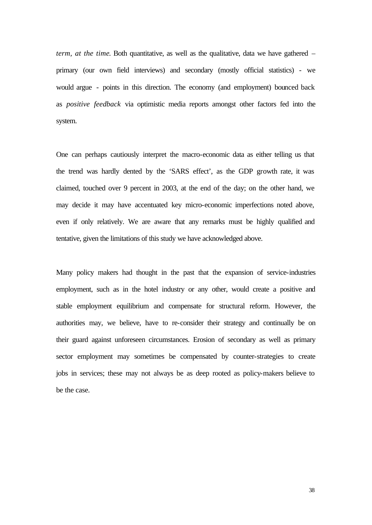*term, at the time*. Both quantitative, as well as the qualitative, data we have gathered – primary (our own field interviews) and secondary (mostly official statistics) - we would argue - points in this direction. The economy (and employment) bounced back as *positive feedback* via optimistic media reports amongst other factors fed into the system.

One can perhaps cautiously interpret the macro-economic data as either telling us that the trend was hardly dented by the 'SARS effect', as the GDP growth rate, it was claimed, touched over 9 percent in 2003, at the end of the day; on the other hand, we may decide it may have accentuated key micro-economic imperfections noted above, even if only relatively. We are aware that any remarks must be highly qualified and tentative, given the limitations of this study we have acknowledged above.

Many policy makers had thought in the past that the expansion of service-industries employment, such as in the hotel industry or any other, would create a positive and stable employment equilibrium and compensate for structural reform. However, the authorities may, we believe, have to re-consider their strategy and continually be on their guard against unforeseen circumstances. Erosion of secondary as well as primary sector employment may sometimes be compensated by counter-strategies to create jobs in services; these may not always be as deep rooted as policy-makers believe to be the case.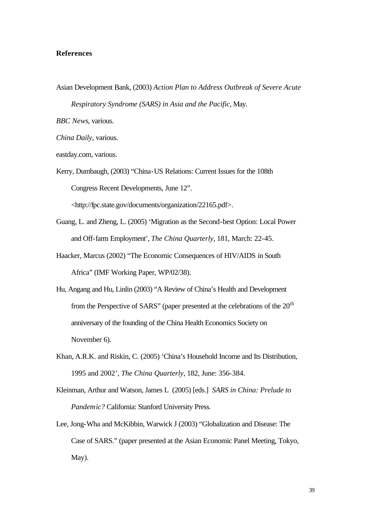#### **References**

Asian Development Bank, (2003) *Action Plan to Address Outbreak of Severe Acute* 

*Respiratory Syndrome (SARS) in Asia and the Pacific*, May.

*BBC News*, various.

*China Daily*, various.

eastday.com, various.

Kerry, Dumbaugh, (2003) "China-US Relations: Current Issues for the 108th Congress Recent Developments, June 12".

<http://fpc.state.gov/documents/organization/22165.pdf>.

- Guang, L. and Zheng, L. (2005) 'Migration as the Second-best Option: Local Power and Off-farm Employment', *The China Quarterly*, 181, March: 22-45.
- Haacker, Marcus (2002) "The Economic Consequences of HIV/AIDS in South Africa" (IMF Working Paper, WP/02/38).
- Hu, Angang and Hu, Linlin (2003) "A Review of China's Health and Development from the Perspective of SARS" (paper presented at the celebrations of the  $20<sup>th</sup>$ anniversary of the founding of the China Health Economics Society on November 6).
- Khan, A.R.K. and Riskin, C. (2005) 'China's Household Income and Its Distribution, 1995 and 2002', *The China Quarterly*, 182, June: 356-384.
- Kleinman, Arthur and Watson, James L (2005) [eds.] *SARS in China: Prelude to Pandemic?* California: Stanford University Press.
- Lee, Jong-Wha and McKibbin, Warwick J (2003) "Globalization and Disease: The Case of SARS." (paper presented at the Asian Economic Panel Meeting, Tokyo, May).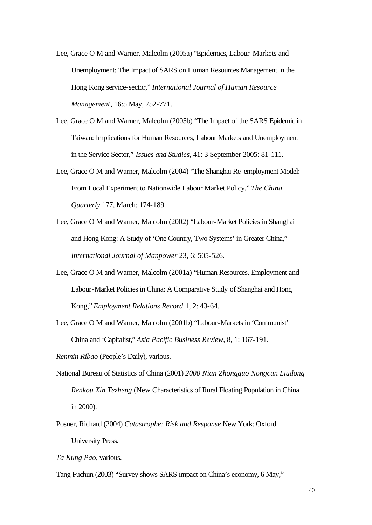- Lee, Grace O M and Warner, Malcolm (2005a) "Epidemics, Labour-Markets and Unemployment: The Impact of SARS on Human Resources Management in the Hong Kong service-sector," *International Journal of Human Resource Management*, 16:5 May, 752-771.
- Lee, Grace O M and Warner, Malcolm (2005b) "The Impact of the SARS Epidemic in Taiwan: Implications for Human Resources, Labour Markets and Unemployment in the Service Sector," *Issues and Studies*, 41: 3 September 2005: 81-111.
- Lee, Grace O M and Warner, Malcolm (2004) "The Shanghai Re-employment Model: From Local Experiment to Nationwide Labour Market Policy," *The China Quarterly* 177, March: 174-189.
- Lee, Grace O M and Warner, Malcolm (2002) "Labour-Market Policies in Shanghai and Hong Kong: A Study of 'One Country, Two Systems' in Greater China," *International Journal of Manpower* 23, 6: 505-526.
- Lee, Grace O M and Warner, Malcolm (2001a) "Human Resources, Employment and Labour-Market Policies in China: A Comparative Study of Shanghai and Hong Kong," *Employment Relations Record* 1, 2: 43-64.
- Lee, Grace O M and Warner, Malcolm (2001b) "Labour-Markets in 'Communist' China and 'Capitalist," *Asia Pacific Business Review*, 8, 1: 167-191.

*Renmin Ribao* (People's Daily), various.

- National Bureau of Statistics of China (2001) *2000 Nian Zhongguo Nongcun Liudong Renkou Xin Tezheng* (New Characteristics of Rural Floating Population in China in 2000).
- Posner, Richard (2004) *Catastrophe: Risk and Response* New York: Oxford University Press.
- *Ta Kung Pao*, various.

Tang Fuchun (2003) "Survey shows SARS impact on China's economy, 6 May,"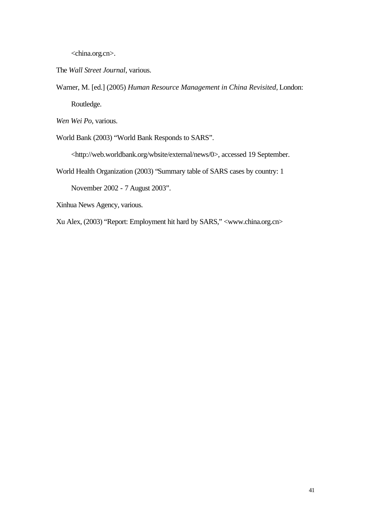<china.org.cn>.

The *Wall Street Journal*, various.

Warner, M. [ed.] (2005) *Human Resource Management in China Revisited*, London: Routledge.

*Wen Wei Po*, various.

World Bank (2003) "World Bank Responds to SARS".

<http://web.worldbank.org/wbsite/external/news/0>, accessed 19 September.

World Health Organization (2003) "Summary table of SARS cases by country: 1

November 2002 - 7 August 2003".

Xinhua News Agency, various.

Xu Alex, (2003) "Report: Employment hit hard by SARS," <www.china.org.cn>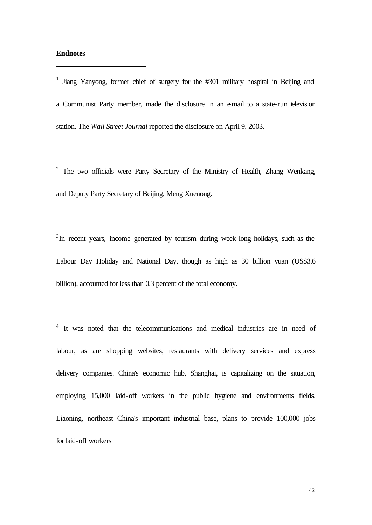#### **Endnotes**

j

<sup>1</sup> Jiang Yanyong, former chief of surgery for the #301 military hospital in Beijing and a Communist Party member, made the disclosure in an e-mail to a state-run television station. The *Wall Street Journal* reported the disclosure on April 9, 2003.

 $2$  The two officials were Party Secretary of the Ministry of Health, Zhang Wenkang, and Deputy Party Secretary of Beijing, Meng Xuenong.

 $3$ In recent years, income generated by tourism during week-long holidays, such as the Labour Day Holiday and National Day, though as high as 30 billion yuan (US\$3.6 billion), accounted for less than 0.3 percent of the total economy.

<sup>4</sup> It was noted that the telecommunications and medical industries are in need of labour, as are shopping websites, restaurants with delivery services and express delivery companies. China's economic hub, Shanghai, is capitalizing on the situation, employing 15,000 laid-off workers in the public hygiene and environments fields. Liaoning, northeast China's important industrial base, plans to provide 100,000 jobs for laid-off workers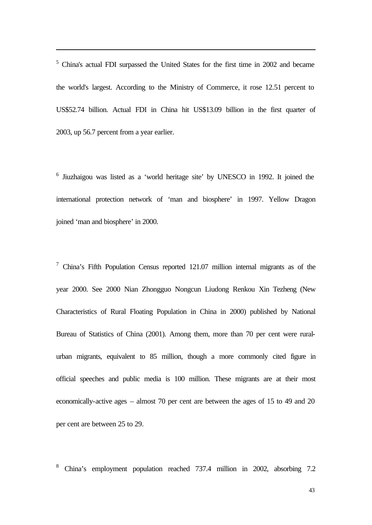<sup>5</sup> China's actual FDI surpassed the United States for the first time in 2002 and became the world's largest. According to the Ministry of Commerce, it rose 12.51 percent to US\$52.74 billion. Actual FDI in China hit US\$13.09 billion in the first quarter of 2003, up 56.7 percent from a year earlier.

j

<sup>6</sup> Jiuzhaigou was listed as a 'world heritage site' by UNESCO in 1992. It joined the international protection network of 'man and biosphere' in 1997. Yellow Dragon joined 'man and biosphere' in 2000.

<sup>7</sup> China's Fifth Population Census reported 121.07 million internal migrants as of the year 2000. See 2000 Nian Zhongguo Nongcun Liudong Renkou Xin Tezheng (New Characteristics of Rural Floating Population in China in 2000) published by National Bureau of Statistics of China (2001). Among them, more than 70 per cent were ruralurban migrants, equivalent to 85 million, though a more commonly cited figure in official speeches and public media is 100 million. These migrants are at their most economically-active ages – almost 70 per cent are between the ages of 15 to 49 and 20 per cent are between 25 to 29.

8 China's employment population reached 737.4 million in 2002, absorbing 7.2